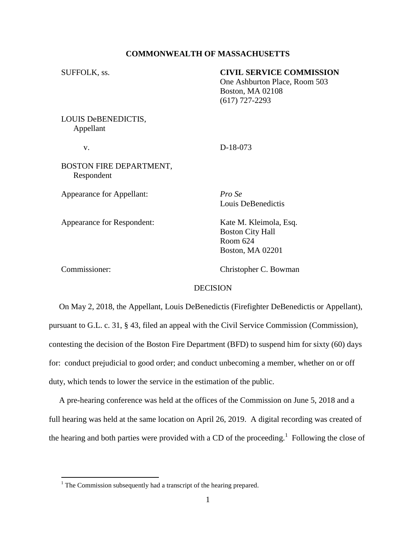### **COMMONWEALTH OF MASSACHUSETTS**

| SUFFOLK, ss.                     | <b>CIVIL SERVICE COMMISSION</b><br>One Ashburton Place, Room 503<br><b>Boston, MA 02108</b><br>$(617)$ 727-2293 |
|----------------------------------|-----------------------------------------------------------------------------------------------------------------|
| LOUIS DeBENEDICTIS,<br>Appellant |                                                                                                                 |
| v.                               | D-18-073                                                                                                        |
| BOSTON FIRE DEPARTMENT,          |                                                                                                                 |

Respondent

Appearance for Appellant: *Pro Se*

Louis DeBenedictis

Boston City Hall

Boston, MA 02201

Room 624

Appearance for Respondent: Kate M. Kleimola, Esq.

 $\overline{a}$ 

Commissioner: Christopher C. Bowman

### **DECISION**

 On May 2, 2018, the Appellant, Louis DeBenedictis (Firefighter DeBenedictis or Appellant), pursuant to G.L. c. 31, § 43, filed an appeal with the Civil Service Commission (Commission), contesting the decision of the Boston Fire Department (BFD) to suspend him for sixty (60) days for: conduct prejudicial to good order; and conduct unbecoming a member, whether on or off duty, which tends to lower the service in the estimation of the public.

 A pre-hearing conference was held at the offices of the Commission on June 5, 2018 and a full hearing was held at the same location on April 26, 2019. A digital recording was created of the hearing and both parties were provided with a CD of the proceeding.<sup>1</sup> Following the close of

 $<sup>1</sup>$  The Commission subsequently had a transcript of the hearing prepared.</sup>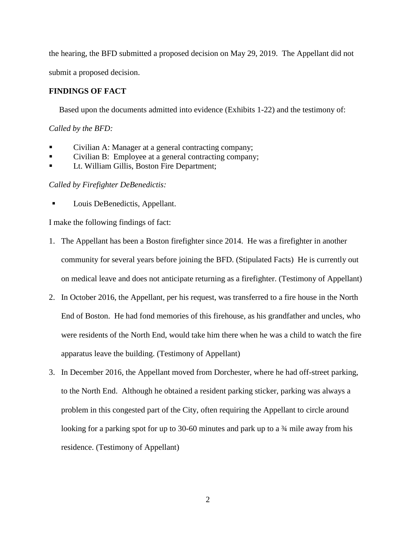the hearing, the BFD submitted a proposed decision on May 29, 2019. The Appellant did not submit a proposed decision.

# **FINDINGS OF FACT**

Based upon the documents admitted into evidence (Exhibits 1-22) and the testimony of:

## *Called by the BFD:*

- Civilian A: Manager at a general contracting company;
- Civilian B: Employee at a general contracting company;
- Lt. William Gillis, Boston Fire Department;

# *Called by Firefighter DeBenedictis:*

Louis DeBenedictis, Appellant.

I make the following findings of fact:

- 1. The Appellant has been a Boston firefighter since 2014. He was a firefighter in another community for several years before joining the BFD. (Stipulated Facts) He is currently out on medical leave and does not anticipate returning as a firefighter. (Testimony of Appellant)
- 2. In October 2016, the Appellant, per his request, was transferred to a fire house in the North End of Boston. He had fond memories of this firehouse, as his grandfather and uncles, who were residents of the North End, would take him there when he was a child to watch the fire apparatus leave the building. (Testimony of Appellant)
- 3. In December 2016, the Appellant moved from Dorchester, where he had off-street parking, to the North End. Although he obtained a resident parking sticker, parking was always a problem in this congested part of the City, often requiring the Appellant to circle around looking for a parking spot for up to 30-60 minutes and park up to a 34 mile away from his residence. (Testimony of Appellant)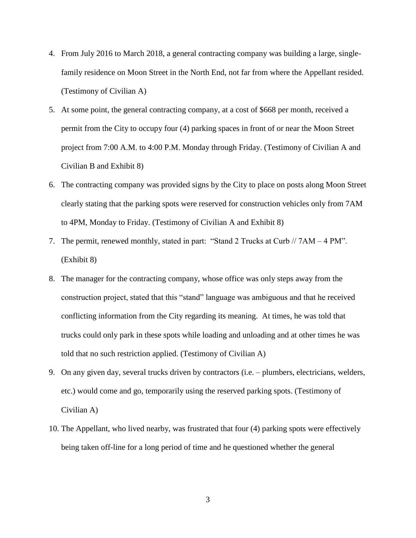- 4. From July 2016 to March 2018, a general contracting company was building a large, singlefamily residence on Moon Street in the North End, not far from where the Appellant resided. (Testimony of Civilian A)
- 5. At some point, the general contracting company, at a cost of \$668 per month, received a permit from the City to occupy four (4) parking spaces in front of or near the Moon Street project from 7:00 A.M. to 4:00 P.M. Monday through Friday. (Testimony of Civilian A and Civilian B and Exhibit 8)
- 6. The contracting company was provided signs by the City to place on posts along Moon Street clearly stating that the parking spots were reserved for construction vehicles only from 7AM to 4PM, Monday to Friday. (Testimony of Civilian A and Exhibit 8)
- 7. The permit, renewed monthly, stated in part: "Stand 2 Trucks at Curb // 7AM 4 PM". (Exhibit 8)
- 8. The manager for the contracting company, whose office was only steps away from the construction project, stated that this "stand" language was ambiguous and that he received conflicting information from the City regarding its meaning. At times, he was told that trucks could only park in these spots while loading and unloading and at other times he was told that no such restriction applied. (Testimony of Civilian A)
- 9. On any given day, several trucks driven by contractors (i.e. plumbers, electricians, welders, etc.) would come and go, temporarily using the reserved parking spots. (Testimony of Civilian A)
- 10. The Appellant, who lived nearby, was frustrated that four (4) parking spots were effectively being taken off-line for a long period of time and he questioned whether the general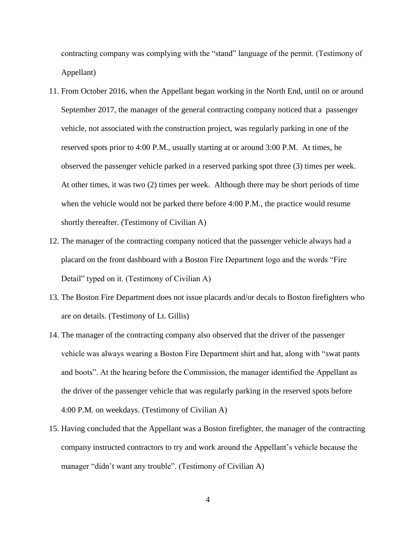contracting company was complying with the "stand" language of the permit. (Testimony of Appellant)

- 11. From October 2016, when the Appellant began working in the North End, until on or around September 2017, the manager of the general contracting company noticed that a passenger vehicle, not associated with the construction project, was regularly parking in one of the reserved spots prior to 4:00 P.M., usually starting at or around 3:00 P.M. At times, he observed the passenger vehicle parked in a reserved parking spot three (3) times per week. At other times, it was two (2) times per week. Although there may be short periods of time when the vehicle would not be parked there before 4:00 P.M., the practice would resume shortly thereafter. (Testimony of Civilian A)
- 12. The manager of the contracting company noticed that the passenger vehicle always had a placard on the front dashboard with a Boston Fire Department logo and the words "Fire Detail" typed on it. (Testimony of Civilian A)
- 13. The Boston Fire Department does not issue placards and/or decals to Boston firefighters who are on details. (Testimony of Lt. Gillis)
- 14. The manager of the contracting company also observed that the driver of the passenger vehicle was always wearing a Boston Fire Department shirt and hat, along with "swat pants and boots". At the hearing before the Commission, the manager identified the Appellant as the driver of the passenger vehicle that was regularly parking in the reserved spots before 4:00 P.M. on weekdays. (Testimony of Civilian A)
- 15. Having concluded that the Appellant was a Boston firefighter, the manager of the contracting company instructed contractors to try and work around the Appellant's vehicle because the manager "didn't want any trouble". (Testimony of Civilian A)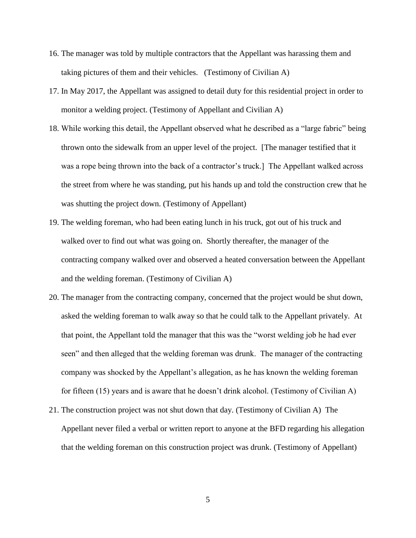- 16. The manager was told by multiple contractors that the Appellant was harassing them and taking pictures of them and their vehicles. (Testimony of Civilian A)
- 17. In May 2017, the Appellant was assigned to detail duty for this residential project in order to monitor a welding project. (Testimony of Appellant and Civilian A)
- 18. While working this detail, the Appellant observed what he described as a "large fabric" being thrown onto the sidewalk from an upper level of the project. [The manager testified that it was a rope being thrown into the back of a contractor's truck.] The Appellant walked across the street from where he was standing, put his hands up and told the construction crew that he was shutting the project down. (Testimony of Appellant)
- 19. The welding foreman, who had been eating lunch in his truck, got out of his truck and walked over to find out what was going on. Shortly thereafter, the manager of the contracting company walked over and observed a heated conversation between the Appellant and the welding foreman. (Testimony of Civilian A)
- 20. The manager from the contracting company, concerned that the project would be shut down, asked the welding foreman to walk away so that he could talk to the Appellant privately. At that point, the Appellant told the manager that this was the "worst welding job he had ever seen" and then alleged that the welding foreman was drunk. The manager of the contracting company was shocked by the Appellant's allegation, as he has known the welding foreman for fifteen (15) years and is aware that he doesn't drink alcohol. (Testimony of Civilian A)
- 21. The construction project was not shut down that day. (Testimony of Civilian A) The Appellant never filed a verbal or written report to anyone at the BFD regarding his allegation that the welding foreman on this construction project was drunk. (Testimony of Appellant)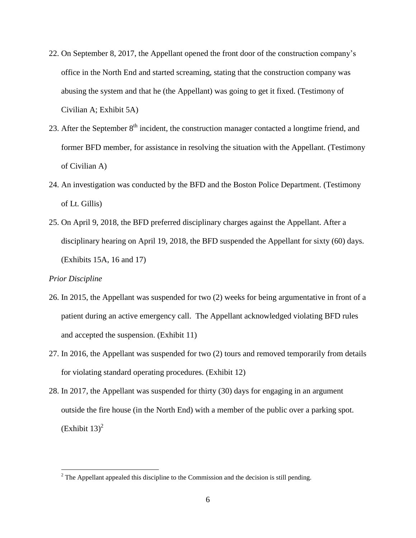- 22. On September 8, 2017, the Appellant opened the front door of the construction company's office in the North End and started screaming, stating that the construction company was abusing the system and that he (the Appellant) was going to get it fixed. (Testimony of Civilian A; Exhibit 5A)
- 23. After the September 8<sup>th</sup> incident, the construction manager contacted a longtime friend, and former BFD member, for assistance in resolving the situation with the Appellant. (Testimony of Civilian A)
- 24. An investigation was conducted by the BFD and the Boston Police Department. (Testimony of Lt. Gillis)
- 25. On April 9, 2018, the BFD preferred disciplinary charges against the Appellant. After a disciplinary hearing on April 19, 2018, the BFD suspended the Appellant for sixty (60) days. (Exhibits 15A, 16 and 17)

### *Prior Discipline*

 $\overline{a}$ 

- 26. In 2015, the Appellant was suspended for two (2) weeks for being argumentative in front of a patient during an active emergency call. The Appellant acknowledged violating BFD rules and accepted the suspension. (Exhibit 11)
- 27. In 2016, the Appellant was suspended for two (2) tours and removed temporarily from details for violating standard operating procedures. (Exhibit 12)
- 28. In 2017, the Appellant was suspended for thirty (30) days for engaging in an argument outside the fire house (in the North End) with a member of the public over a parking spot.  $(Exhibit 13)<sup>2</sup>$

 $2^2$  The Appellant appealed this discipline to the Commission and the decision is still pending.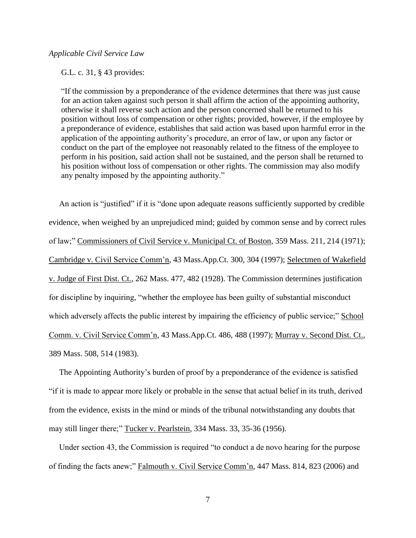### *Applicable Civil Service Law*

G.L. c. 31, § 43 provides:

"If the commission by a preponderance of the evidence determines that there was just cause for an action taken against such person it shall affirm the action of the appointing authority, otherwise it shall reverse such action and the person concerned shall be returned to his position without loss of compensation or other rights; provided, however, if the employee by a preponderance of evidence, establishes that said action was based upon harmful error in the application of the appointing authority's procedure, an error of law, or upon any factor or conduct on the part of the employee not reasonably related to the fitness of the employee to perform in his position, said action shall not be sustained, and the person shall be returned to his position without loss of compensation or other rights. The commission may also modify any penalty imposed by the appointing authority."

 An action is "justified" if it is "done upon adequate reasons sufficiently supported by credible evidence, when weighed by an unprejudiced mind; guided by common sense and by correct rules of law;" Commissioners of Civil Service v. Municipal Ct. of Boston, 359 Mass. 211, 214 (1971); Cambridge v. Civil Service Comm'n, 43 Mass.App.Ct. 300, 304 (1997); Selectmen of Wakefield v. Judge of First Dist. Ct., 262 Mass. 477, 482 (1928). The Commission determines justification for discipline by inquiring, "whether the employee has been guilty of substantial misconduct which adversely affects the public interest by impairing the efficiency of public service;" School Comm. v. Civil Service Comm'n, 43 Mass.App.Ct. 486, 488 (1997); Murray v. Second Dist. Ct., 389 Mass. 508, 514 (1983).

 The Appointing Authority's burden of proof by a preponderance of the evidence is satisfied "if it is made to appear more likely or probable in the sense that actual belief in its truth, derived from the evidence, exists in the mind or minds of the tribunal notwithstanding any doubts that may still linger there;" Tucker v. Pearlstein, 334 Mass. 33, 35-36 (1956).

 Under section 43, the Commission is required "to conduct a de novo hearing for the purpose of finding the facts anew;" Falmouth v. Civil Service Comm'n, 447 Mass. 814, 823 (2006) and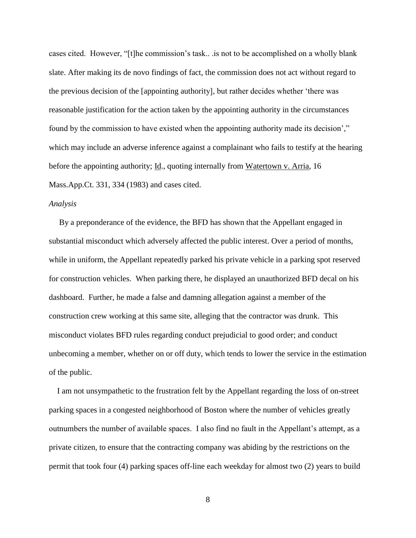cases cited. However, "[t]he commission's task.. .is not to be accomplished on a wholly blank slate. After making its de novo findings of fact, the commission does not act without regard to the previous decision of the [appointing authority], but rather decides whether 'there was reasonable justification for the action taken by the appointing authority in the circumstances found by the commission to have existed when the appointing authority made its decision'," which may include an adverse inference against a complainant who fails to testify at the hearing before the appointing authority; Id., quoting internally from Watertown v. Arria, 16 Mass.App.Ct. 331, 334 (1983) and cases cited.

#### *Analysis*

 By a preponderance of the evidence, the BFD has shown that the Appellant engaged in substantial misconduct which adversely affected the public interest. Over a period of months, while in uniform, the Appellant repeatedly parked his private vehicle in a parking spot reserved for construction vehicles. When parking there, he displayed an unauthorized BFD decal on his dashboard. Further, he made a false and damning allegation against a member of the construction crew working at this same site, alleging that the contractor was drunk. This misconduct violates BFD rules regarding conduct prejudicial to good order; and conduct unbecoming a member, whether on or off duty, which tends to lower the service in the estimation of the public.

 I am not unsympathetic to the frustration felt by the Appellant regarding the loss of on-street parking spaces in a congested neighborhood of Boston where the number of vehicles greatly outnumbers the number of available spaces. I also find no fault in the Appellant's attempt, as a private citizen, to ensure that the contracting company was abiding by the restrictions on the permit that took four (4) parking spaces off-line each weekday for almost two (2) years to build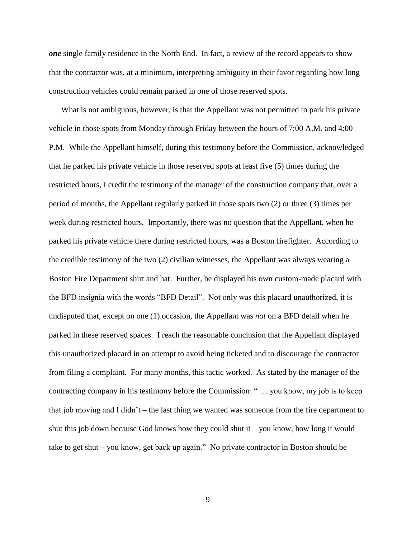*one* single family residence in the North End. In fact, a review of the record appears to show that the contractor was, at a minimum, interpreting ambiguity in their favor regarding how long construction vehicles could remain parked in one of those reserved spots.

 What is not ambiguous, however, is that the Appellant was not permitted to park his private vehicle in those spots from Monday through Friday between the hours of 7:00 A.M. and 4:00 P.M. While the Appellant himself, during this testimony before the Commission, acknowledged that he parked his private vehicle in those reserved spots at least five (5) times during the restricted hours, I credit the testimony of the manager of the construction company that, over a period of months, the Appellant regularly parked in those spots two (2) or three (3) times per week during restricted hours. Importantly, there was no question that the Appellant, when he parked his private vehicle there during restricted hours, was a Boston firefighter. According to the credible testimony of the two (2) civilian witnesses, the Appellant was always wearing a Boston Fire Department shirt and hat. Further, he displayed his own custom-made placard with the BFD insignia with the words "BFD Detail". Not only was this placard unauthorized, it is undisputed that, except on one (1) occasion, the Appellant was *not* on a BFD detail when he parked in these reserved spaces. I reach the reasonable conclusion that the Appellant displayed this unauthorized placard in an attempt to avoid being ticketed and to discourage the contractor from filing a complaint. For many months, this tactic worked. As stated by the manager of the contracting company in his testimony before the Commission: " … you know, my job is to keep that job moving and I didn't – the last thing we wanted was someone from the fire department to shut this job down because God knows how they could shut it – you know, how long it would take to get shut – you know, get back up again." No private contractor in Boston should be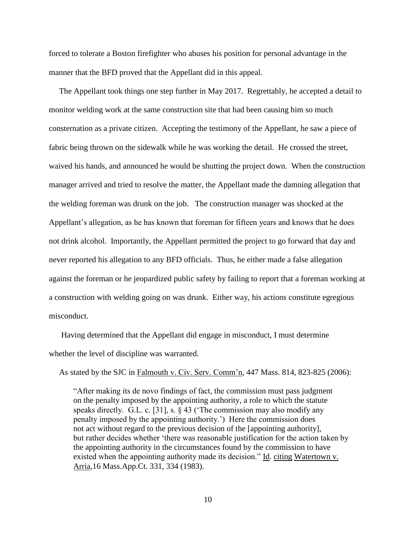forced to tolerate a Boston firefighter who abuses his position for personal advantage in the manner that the BFD proved that the Appellant did in this appeal.

 The Appellant took things one step further in May 2017. Regrettably, he accepted a detail to monitor welding work at the same construction site that had been causing him so much consternation as a private citizen. Accepting the testimony of the Appellant, he saw a piece of fabric being thrown on the sidewalk while he was working the detail. He crossed the street, waived his hands, and announced he would be shutting the project down. When the construction manager arrived and tried to resolve the matter, the Appellant made the damning allegation that the welding foreman was drunk on the job. The construction manager was shocked at the Appellant's allegation, as he has known that foreman for fifteen years and knows that he does not drink alcohol. Importantly, the Appellant permitted the project to go forward that day and never reported his allegation to any BFD officials. Thus, he either made a false allegation against the foreman or he jeopardized public safety by failing to report that a foreman working at a construction with welding going on was drunk. Either way, his actions constitute egregious misconduct.

Having determined that the Appellant did engage in misconduct, I must determine whether the level of discipline was warranted.

As stated by the SJC in Falmouth v. Civ. Serv. Comm'n, 447 Mass. 814, 823-825 (2006):

 "After making its de novo findings of fact, the commission must pass judgment on the penalty imposed by the appointing authority, a role to which the statute speaks directly. G.L. c. [31], s. § 43 ('The commission may also modify any penalty imposed by the appointing authority.') Here the commission does not act without regard to the previous decision of the [appointing authority], but rather decides whether 'there was reasonable justification for the action taken by the appointing authority in the circumstances found by the commission to have existed when the appointing authority made its decision." Id. citing Watertown v. Arria,16 Mass.App.Ct. 331, 334 (1983).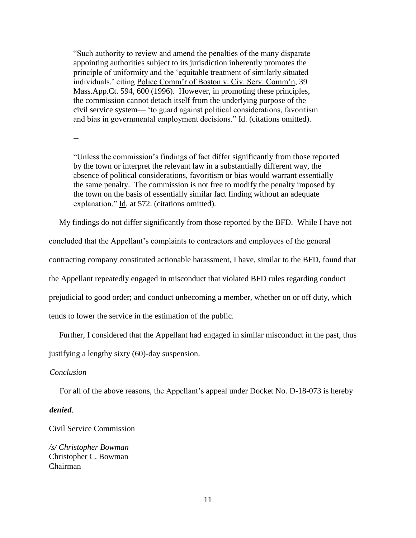"Such authority to review and amend the penalties of the many disparate appointing authorities subject to its jurisdiction inherently promotes the principle of uniformity and the 'equitable treatment of similarly situated individuals.' citing Police Comm'r of Boston v. Civ. Serv. Comm'n, 39 Mass.App.Ct. 594, 600 (1996). However, in promoting these principles, the commission cannot detach itself from the underlying purpose of the civil service system— 'to guard against political considerations, favoritism and bias in governmental employment decisions." Id. (citations omitted).

--

"Unless the commission's findings of fact differ significantly from those reported by the town or interpret the relevant law in a substantially different way, the absence of political considerations, favoritism or bias would warrant essentially the same penalty. The commission is not free to modify the penalty imposed by the town on the basis of essentially similar fact finding without an adequate explanation." Id. at 572. (citations omitted).

My findings do not differ significantly from those reported by the BFD. While I have not

concluded that the Appellant's complaints to contractors and employees of the general

contracting company constituted actionable harassment, I have, similar to the BFD, found that

the Appellant repeatedly engaged in misconduct that violated BFD rules regarding conduct

prejudicial to good order; and conduct unbecoming a member, whether on or off duty, which

tends to lower the service in the estimation of the public.

Further, I considered that the Appellant had engaged in similar misconduct in the past, thus

justifying a lengthy sixty (60)-day suspension.

#### *Conclusion*

For all of the above reasons, the Appellant's appeal under Docket No. D-18-073 is hereby

#### *denied*.

Civil Service Commission

*/s/ Christopher Bowman* Christopher C. Bowman Chairman